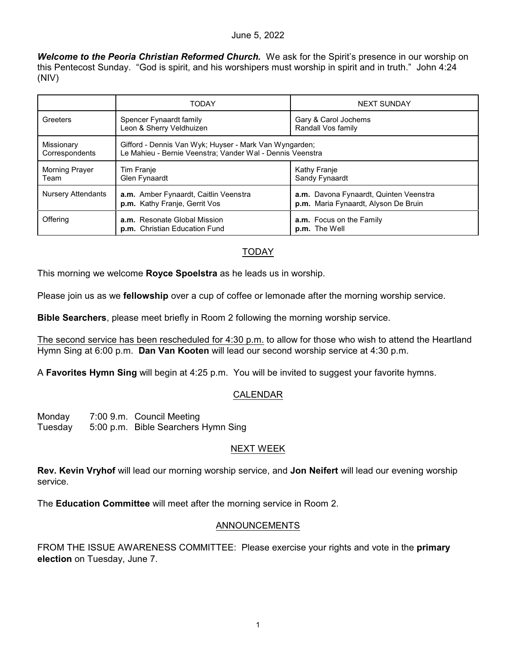### June 5, 2022

*Welcome to the Peoria Christian Reformed Church.* We ask for the Spirit's presence in our worship on this Pentecost Sunday. "God is spirit, and his worshipers must worship in spirit and in truth." John 4:24 (NIV)

|                               | <b>TODAY</b>                                                                                                        | <b>NEXT SUNDAY</b>                                                             |  |
|-------------------------------|---------------------------------------------------------------------------------------------------------------------|--------------------------------------------------------------------------------|--|
| Greeters                      | Spencer Fynaardt family<br>Leon & Sherry Veldhuizen                                                                 | Gary & Carol Jochems<br>Randall Vos family                                     |  |
| Missionary<br>Correspondents  | Gifford - Dennis Van Wyk; Huyser - Mark Van Wyngarden;<br>Le Mahieu - Bernie Veenstra; Vander Wal - Dennis Veenstra |                                                                                |  |
| <b>Morning Prayer</b><br>Team | Tim Franje<br>Glen Fynaardt                                                                                         | Kathy Franje<br>Sandy Fynaardt                                                 |  |
| <b>Nursery Attendants</b>     | a.m. Amber Fynaardt, Caitlin Veenstra<br>p.m. Kathy Franje, Gerrit Vos                                              | a.m. Davona Fynaardt, Quinten Veenstra<br>p.m. Maria Fynaardt, Alyson De Bruin |  |
| Offering                      | <b>a.m.</b> Resonate Global Mission<br>p.m. Christian Education Fund                                                | a.m. Focus on the Family<br>p.m. The Well                                      |  |

# TODAY

This morning we welcome **Royce Spoelstra** as he leads us in worship.

Please join us as we **fellowship** over a cup of coffee or lemonade after the morning worship service.

**Bible Searchers**, please meet briefly in Room 2 following the morning worship service.

The second service has been rescheduled for 4:30 p.m. to allow for those who wish to attend the Heartland Hymn Sing at 6:00 p.m. **Dan Van Kooten** will lead our second worship service at 4:30 p.m.

A **Favorites Hymn Sing** will begin at 4:25 p.m. You will be invited to suggest your favorite hymns.

# CALENDAR

| Monday  | 7:00 9.m. Council Meeting           |
|---------|-------------------------------------|
| Tuesday | 5:00 p.m. Bible Searchers Hymn Sing |

#### NEXT WEEK

**Rev. Kevin Vryhof** will lead our morning worship service, and **Jon Neifert** will lead our evening worship service.

The **Education Committee** will meet after the morning service in Room 2.

# ANNOUNCEMENTS

FROM THE ISSUE AWARENESS COMMITTEE: Please exercise your rights and vote in the **primary election** on Tuesday, June 7.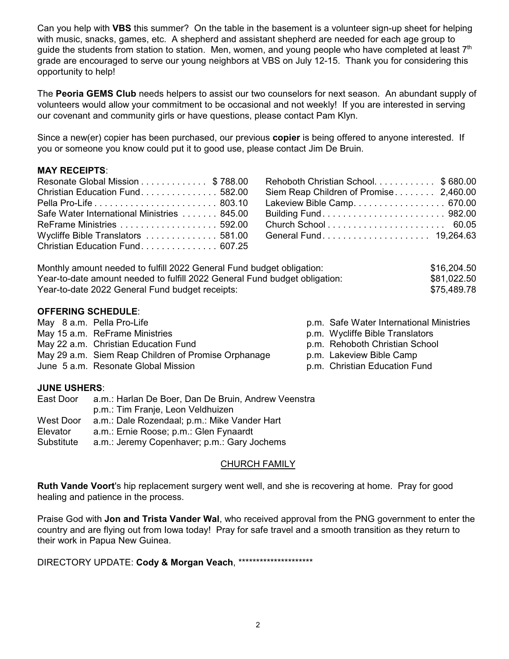Can you help with **VBS** this summer? On the table in the basement is a volunteer sign-up sheet for helping with music, snacks, games, etc. A shepherd and assistant shepherd are needed for each age group to guide the students from station to station. Men, women, and young people who have completed at least  $7<sup>th</sup>$ grade are encouraged to serve our young neighbors at VBS on July 12-15. Thank you for considering this opportunity to help!

The **Peoria GEMS Club** needs helpers to assist our two counselors for next season. An abundant supply of volunteers would allow your commitment to be occasional and not weekly! If you are interested in serving our covenant and community girls or have questions, please contact Pam Klyn.

Since a new(er) copier has been purchased, our previous **copier** is being offered to anyone interested. If you or someone you know could put it to good use, please contact Jim De Bruin.

# **MAY RECEIPTS**:

| Resonate Global Mission \$788.00            |  |
|---------------------------------------------|--|
| Christian Education Fund582.00              |  |
|                                             |  |
| Safe Water International Ministries  845.00 |  |
|                                             |  |
| Wycliffe Bible Translators  581.00          |  |
| Christian Education Fund 607.25             |  |

| Rehoboth Christian School. \$ 680.00   |  |
|----------------------------------------|--|
| Siem Reap Children of Promise 2,460.00 |  |
| Lakeview Bible Camp. 670.00            |  |
| Building Fund 982.00                   |  |
|                                        |  |
| General Fund 19,264.63                 |  |

| Monthly amount needed to fulfill 2022 General Fund budget obligation:      | \$16,204.50 |
|----------------------------------------------------------------------------|-------------|
| Year-to-date amount needed to fulfill 2022 General Fund budget obligation: | \$81,022.50 |
| Year-to-date 2022 General Fund budget receipts:                            | \$75,489.78 |

## **OFFERING SCHEDULE**:

| May 8 a.m. Pella Pro-Life                           | p.m. Safe Water International Ministries |
|-----------------------------------------------------|------------------------------------------|
| May 15 a.m. ReFrame Ministries                      | p.m. Wycliffe Bible Translators          |
| May 22 a.m. Christian Education Fund                | p.m. Rehoboth Christian School           |
| May 29 a.m. Siem Reap Children of Promise Orphanage | p.m. Lakeview Bible Camp                 |
| June 5 a.m. Resonate Global Mission                 | p.m. Christian Education Fund            |
|                                                     |                                          |

#### **JUNE USHERS**:

| East Door  | a.m.: Harlan De Boer, Dan De Bruin, Andrew Veenstra |
|------------|-----------------------------------------------------|
|            | p.m.: Tim Franje, Leon Veldhuizen                   |
| West Door  | a.m.: Dale Rozendaal; p.m.: Mike Vander Hart        |
| Elevator   | a.m.: Ernie Roose; p.m.: Glen Fynaardt              |
| Substitute | a.m.: Jeremy Copenhaver; p.m.: Gary Jochems         |

### CHURCH FAMILY

**Ruth Vande Voort**'s hip replacement surgery went well, and she is recovering at home. Pray for good healing and patience in the process.

Praise God with **Jon and Trista Vander Wal**, who received approval from the PNG government to enter the country and are flying out from Iowa today! Pray for safe travel and a smooth transition as they return to their work in Papua New Guinea.

# DIRECTORY UPDATE: **Cody & Morgan Veach**, \*\*\*\*\*\*\*\*\*\*\*\*\*\*\*\*\*\*\*\*\*